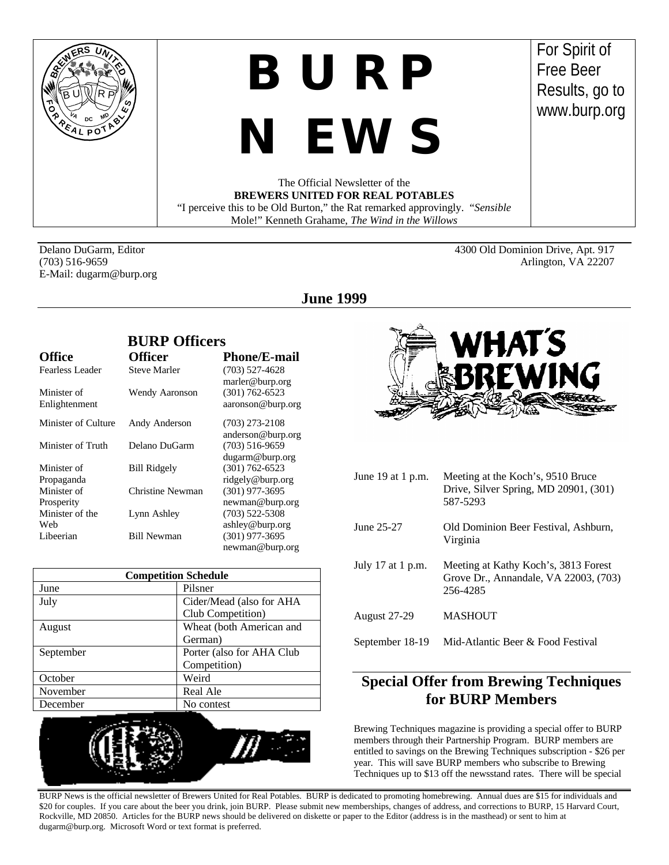

## *BURP*

# *NEWS*

For Spirit of Free Beer Results, go to www.burp.org

The Official Newsletter of the **BREWERS UNITED FOR REAL POTABLES** "I perceive this to be Old Burton," the Rat remarked approvingly. "*Sensible* Mole!" Kenneth Grahame, *The Wind in the Willows*

E-Mail: dugarm@burp.org

Delano DuGarm, Editor 4300 Old Dominion Drive, Apt. 917 (703) 516-9659 Arlington, VA 22207

## **June 1999**

|                     | <b>BURP Officers</b>  |                     |  |
|---------------------|-----------------------|---------------------|--|
| <b>Office</b>       | <b>Officer</b>        | <b>Phone/E-mail</b> |  |
| Fearless Leader     | <b>Steve Marler</b>   | $(703)$ 527-4628    |  |
|                     |                       | marler@burp.org     |  |
| Minister of         | <b>Wendy Aaronson</b> | $(301) 762 - 6523$  |  |
| Enlightenment       |                       | aaronson@burp.org   |  |
| Minister of Culture | Andy Anderson         | $(703)$ 273-2108    |  |
|                     |                       | anderson@burp.org   |  |
| Minister of Truth   | Delano DuGarm         | $(703)$ 516-9659    |  |
|                     |                       | dugarm@burp.org     |  |
| Minister of         | <b>Bill Ridgely</b>   | $(301) 762 - 6523$  |  |
| Propaganda          |                       | ridgely@burp.org    |  |
| Minister of         | Christine Newman      | $(301)$ 977-3695    |  |
| Prosperity          |                       | newman@burp.org     |  |
| Minister of the     | Lynn Ashley           | $(703)$ 522-5308    |  |
| Web                 |                       | ashley@burp.org     |  |
| Libeerian           | <b>Bill Newman</b>    | $(301)$ 977-3695    |  |
|                     |                       | newman@burp.org     |  |

| <b>Competition Schedule</b> |                           |  |
|-----------------------------|---------------------------|--|
| June                        | Pilsner                   |  |
| July                        | Cider/Mead (also for AHA  |  |
|                             | Club Competition)         |  |
| August                      | Wheat (both American and  |  |
|                             | German)                   |  |
| September                   | Porter (also for AHA Club |  |
|                             | Competition)              |  |
| October                     | Weird                     |  |
| November                    | Real Ale                  |  |
| December                    | No contest                |  |





| June 19 at 1 p.m.   | Meeting at the Koch's, 9510 Bruce<br>Drive, Silver Spring, MD 20901, (301)<br>587-5293    |  |
|---------------------|-------------------------------------------------------------------------------------------|--|
| June 25-27          | Old Dominion Beer Festival, Ashburn,<br>Virginia                                          |  |
| July 17 at 1 p.m.   | Meeting at Kathy Koch's, 3813 Forest<br>Grove Dr., Annandale, VA 22003, (703)<br>256-4285 |  |
| <b>August 27-29</b> | <b>MASHOUT</b>                                                                            |  |
| September 18-19     | Mid-Atlantic Beer & Food Festival                                                         |  |

## **Special Offer from Brewing Techniques for BURP Members**

Brewing Techniques magazine is providing a special offer to BURP members through their Partnership Program. BURP members are entitled to savings on the Brewing Techniques subscription - \$26 per year. This will save BURP members who subscribe to Brewing Techniques up to \$13 off the newsstand rates. There will be special

BURP News is the official newsletter of Brewers United for Real Potables. BURP is dedicated to promoting homebrewing. Annual dues are \$15 for individuals and \$20 for couples. If you care about the beer you drink, join BURP. Please submit new memberships, changes of address, and corrections to BURP, 15 Harvard Court, Rockville, MD 20850. Articles for the BURP news should be delivered on diskette or paper to the Editor (address is in the masthead) or sent to him at dugarm@burp.org. Microsoft Word or text format is preferred.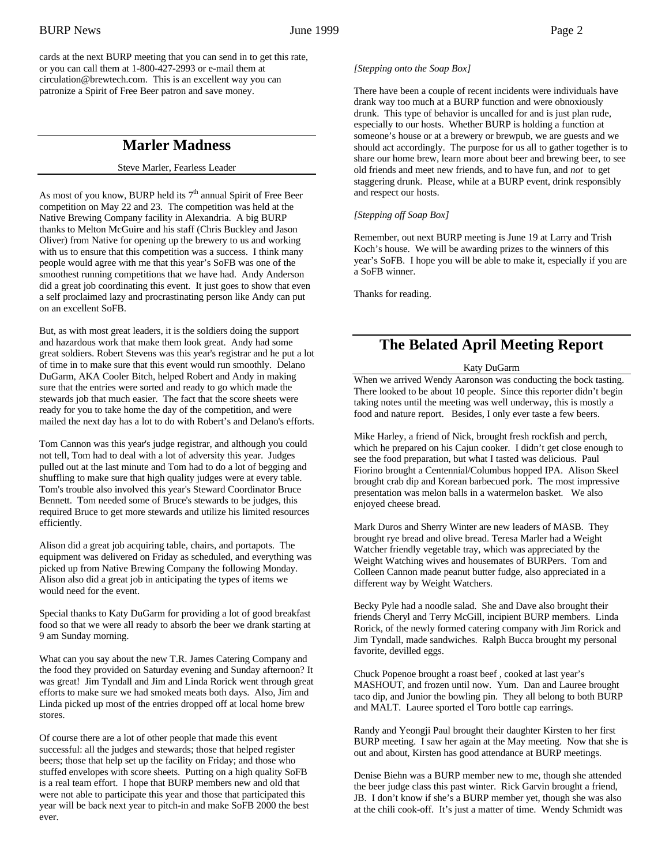cards at the next BURP meeting that you can send in to get this rate, or you can call them at 1-800-427-2993 or e-mail them at circulation@brewtech.com. This is an excellent way you can patronize a Spirit of Free Beer patron and save money.

## **Marler Madness**

#### Steve Marler, Fearless Leader

As most of you know, BURP held its  $7<sup>th</sup>$  annual Spirit of Free Beer competition on May 22 and 23. The competition was held at the Native Brewing Company facility in Alexandria. A big BURP thanks to Melton McGuire and his staff (Chris Buckley and Jason Oliver) from Native for opening up the brewery to us and working with us to ensure that this competition was a success. I think many people would agree with me that this year's SoFB was one of the smoothest running competitions that we have had. Andy Anderson did a great job coordinating this event. It just goes to show that even a self proclaimed lazy and procrastinating person like Andy can put on an excellent SoFB.

But, as with most great leaders, it is the soldiers doing the support and hazardous work that make them look great. Andy had some great soldiers. Robert Stevens was this year's registrar and he put a lot of time in to make sure that this event would run smoothly. Delano DuGarm, AKA Cooler Bitch, helped Robert and Andy in making sure that the entries were sorted and ready to go which made the stewards job that much easier. The fact that the score sheets were ready for you to take home the day of the competition, and were mailed the next day has a lot to do with Robert's and Delano's efforts.

Tom Cannon was this year's judge registrar, and although you could not tell, Tom had to deal with a lot of adversity this year. Judges pulled out at the last minute and Tom had to do a lot of begging and shuffling to make sure that high quality judges were at every table. Tom's trouble also involved this year's Steward Coordinator Bruce Bennett. Tom needed some of Bruce's stewards to be judges, this required Bruce to get more stewards and utilize his limited resources efficiently.

Alison did a great job acquiring table, chairs, and portapots. The equipment was delivered on Friday as scheduled, and everything was picked up from Native Brewing Company the following Monday. Alison also did a great job in anticipating the types of items we would need for the event.

Special thanks to Katy DuGarm for providing a lot of good breakfast food so that we were all ready to absorb the beer we drank starting at 9 am Sunday morning.

What can you say about the new T.R. James Catering Company and the food they provided on Saturday evening and Sunday afternoon? It was great! Jim Tyndall and Jim and Linda Rorick went through great efforts to make sure we had smoked meats both days. Also, Jim and Linda picked up most of the entries dropped off at local home brew stores.

Of course there are a lot of other people that made this event successful: all the judges and stewards; those that helped register beers; those that help set up the facility on Friday; and those who stuffed envelopes with score sheets. Putting on a high quality SoFB is a real team effort. I hope that BURP members new and old that were not able to participate this year and those that participated this year will be back next year to pitch-in and make SoFB 2000 the best ever.

#### *[Stepping onto the Soap Box]*

There have been a couple of recent incidents were individuals have drank way too much at a BURP function and were obnoxiously drunk. This type of behavior is uncalled for and is just plan rude, especially to our hosts. Whether BURP is holding a function at someone's house or at a brewery or brewpub, we are guests and we should act accordingly. The purpose for us all to gather together is to share our home brew, learn more about beer and brewing beer, to see old friends and meet new friends, and to have fun, and *not* to get staggering drunk. Please, while at a BURP event, drink responsibly and respect our hosts.

## *[Stepping off Soap Box]*

Remember, out next BURP meeting is June 19 at Larry and Trish Koch's house. We will be awarding prizes to the winners of this year's SoFB. I hope you will be able to make it, especially if you are a SoFB winner.

Thanks for reading.

## **The Belated April Meeting Report**

#### Katy DuGarm

When we arrived Wendy Aaronson was conducting the bock tasting. There looked to be about 10 people. Since this reporter didn't begin taking notes until the meeting was well underway, this is mostly a food and nature report. Besides, I only ever taste a few beers.

Mike Harley, a friend of Nick, brought fresh rockfish and perch, which he prepared on his Cajun cooker. I didn't get close enough to see the food preparation, but what I tasted was delicious. Paul Fiorino brought a Centennial/Columbus hopped IPA. Alison Skeel brought crab dip and Korean barbecued pork. The most impressive presentation was melon balls in a watermelon basket. We also enjoyed cheese bread.

Mark Duros and Sherry Winter are new leaders of MASB. They brought rye bread and olive bread. Teresa Marler had a Weight Watcher friendly vegetable tray, which was appreciated by the Weight Watching wives and housemates of BURPers. Tom and Colleen Cannon made peanut butter fudge, also appreciated in a different way by Weight Watchers.

Becky Pyle had a noodle salad. She and Dave also brought their friends Cheryl and Terry McGill, incipient BURP members. Linda Rorick, of the newly formed catering company with Jim Rorick and Jim Tyndall, made sandwiches. Ralph Bucca brought my personal favorite, devilled eggs.

Chuck Popenoe brought a roast beef , cooked at last year's MASHOUT, and frozen until now. Yum. Dan and Lauree brought taco dip, and Junior the bowling pin. They all belong to both BURP and MALT. Lauree sported el Toro bottle cap earrings.

Randy and Yeongji Paul brought their daughter Kirsten to her first BURP meeting. I saw her again at the May meeting. Now that she is out and about, Kirsten has good attendance at BURP meetings.

Denise Biehn was a BURP member new to me, though she attended the beer judge class this past winter. Rick Garvin brought a friend, JB. I don't know if she's a BURP member yet, though she was also at the chili cook-off. It's just a matter of time. Wendy Schmidt was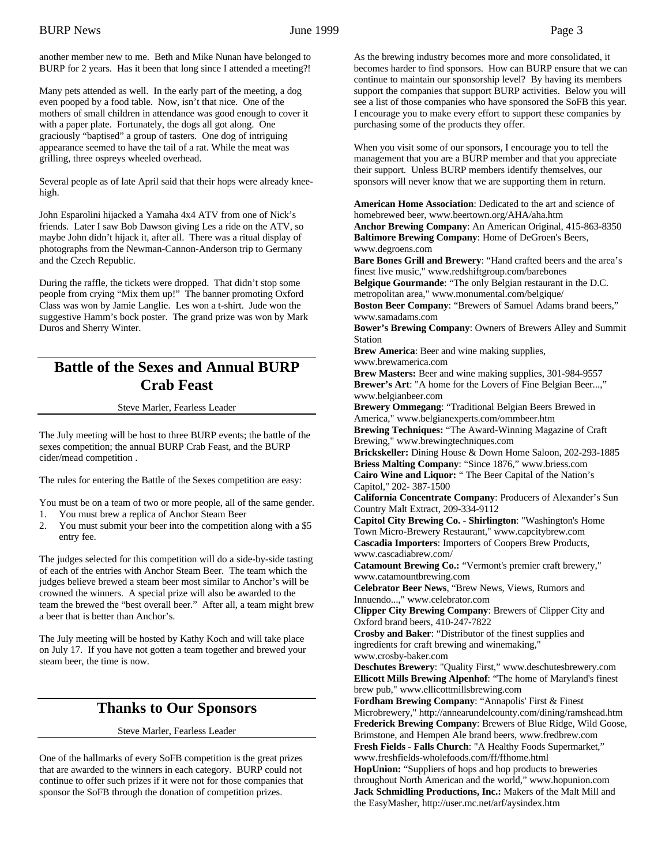another member new to me. Beth and Mike Nunan have belonged to BURP for 2 years. Has it been that long since I attended a meeting?!

Many pets attended as well. In the early part of the meeting, a dog even pooped by a food table. Now, isn't that nice. One of the mothers of small children in attendance was good enough to cover it with a paper plate. Fortunately, the dogs all got along. One graciously "baptised" a group of tasters. One dog of intriguing appearance seemed to have the tail of a rat. While the meat was grilling, three ospreys wheeled overhead.

Several people as of late April said that their hops were already kneehigh.

John Esparolini hijacked a Yamaha 4x4 ATV from one of Nick's friends. Later I saw Bob Dawson giving Les a ride on the ATV, so maybe John didn't hijack it, after all. There was a ritual display of photographs from the Newman-Cannon-Anderson trip to Germany and the Czech Republic.

During the raffle, the tickets were dropped. That didn't stop some people from crying "Mix them up!" The banner promoting Oxford Class was won by Jamie Langlie. Les won a t-shirt. Jude won the suggestive Hamm's bock poster. The grand prize was won by Mark Duros and Sherry Winter.

## **Battle of the Sexes and Annual BURP Crab Feast**

#### Steve Marler, Fearless Leader

The July meeting will be host to three BURP events; the battle of the sexes competition; the annual BURP Crab Feast, and the BURP cider/mead competition .

The rules for entering the Battle of the Sexes competition are easy:

You must be on a team of two or more people, all of the same gender. 1. You must brew a replica of Anchor Steam Beer

2. You must submit your beer into the competition along with a \$5 entry fee.

The judges selected for this competition will do a side-by-side tasting of each of the entries with Anchor Steam Beer. The team which the judges believe brewed a steam beer most similar to Anchor's will be crowned the winners. A special prize will also be awarded to the team the brewed the "best overall beer." After all, a team might brew a beer that is better than Anchor's.

The July meeting will be hosted by Kathy Koch and will take place on July 17. If you have not gotten a team together and brewed your steam beer, the time is now.

## **Thanks to Our Sponsors**

Steve Marler, Fearless Leader

One of the hallmarks of every SoFB competition is the great prizes that are awarded to the winners in each category. BURP could not continue to offer such prizes if it were not for those companies that sponsor the SoFB through the donation of competition prizes.

As the brewing industry becomes more and more consolidated, it becomes harder to find sponsors. How can BURP ensure that we can continue to maintain our sponsorship level? By having its members support the companies that support BURP activities. Below you will see a list of those companies who have sponsored the SoFB this year. I encourage you to make every effort to support these companies by purchasing some of the products they offer.

When you visit some of our sponsors, I encourage you to tell the management that you are a BURP member and that you appreciate their support. Unless BURP members identify themselves, our sponsors will never know that we are supporting them in return.

**American Home Association**: Dedicated to the art and science of homebrewed beer, www.beertown.org/AHA/aha.htm **Anchor Brewing Company**: An American Original, 415-863-8350 **Baltimore Brewing Company**: Home of DeGroen's Beers, www.degroens.com

**Bare Bones Grill and Brewery**: "Hand crafted beers and the area's finest live music," www.redshiftgroup.com/barebones **Belgique Gourmande**: "The only Belgian restaurant in the D.C. metropolitan area," www.monumental.com/belgique/

**Boston Beer Company**: "Brewers of Samuel Adams brand beers," www.samadams.com

**Bower's Brewing Company**: Owners of Brewers Alley and Summit Station

**Brew America**: Beer and wine making supplies,

www.brewamerica.com

**Brew Masters:** Beer and wine making supplies, 301-984-9557 **Brewer's Art**: "A home for the Lovers of Fine Belgian Beer...," www.belgianbeer.com

**Brewery Ommegang**: "Traditional Belgian Beers Brewed in America," www.belgianexperts.com/ommbeer.htm

**Brewing Techniques:** "The Award-Winning Magazine of Craft Brewing," www.brewingtechniques.com

**Brickskeller:** Dining House & Down Home Saloon, 202-293-1885 **Briess Malting Company**: "Since 1876," www.briess.com

**Cairo Wine and Liquor:** " The Beer Capital of the Nation's Capitol," 202- 387-1500

**California Concentrate Company**: Producers of Alexander's Sun Country Malt Extract, 209-334-9112

**Capitol City Brewing Co. - Shirlington**: "Washington's Home Town Micro-Brewery Restaurant," www.capcitybrew.com **Cascadia Importers**: Importers of Coopers Brew Products, www.cascadiabrew.com/

**Catamount Brewing Co.:** "Vermont's premier craft brewery," www.catamountbrewing.com

**Celebrator Beer News**, "Brew News, Views, Rumors and Innuendo...," www.celebrator.com

**Clipper City Brewing Company**: Brewers of Clipper City and Oxford brand beers, 410-247-7822

**Crosby and Baker**: "Distributor of the finest supplies and ingredients for craft brewing and winemaking," www.crosby-baker.com

**Deschutes Brewery**: "Quality First," www.deschutesbrewery.com **Ellicott Mills Brewing Alpenhof**: "The home of Maryland's finest brew pub," www.ellicottmillsbrewing.com

**Fordham Brewing Company**: "Annapolis' First & Finest Microbrewery," http://annearundelcounty.com/dining/ramshead.htm **Frederick Brewing Company**: Brewers of Blue Ridge, Wild Goose, Brimstone, and Hempen Ale brand beers, www.fredbrew.com **Fresh Fields - Falls Church**: "A Healthy Foods Supermarket,"

www.freshfields-wholefoods.com/ff/ffhome.html

**HopUnion:** "Suppliers of hops and hop products to breweries throughout North American and the world," www.hopunion.com **Jack Schmidling Productions, Inc.:** Makers of the Malt Mill and the EasyMasher, http://user.mc.net/arf/aysindex.htm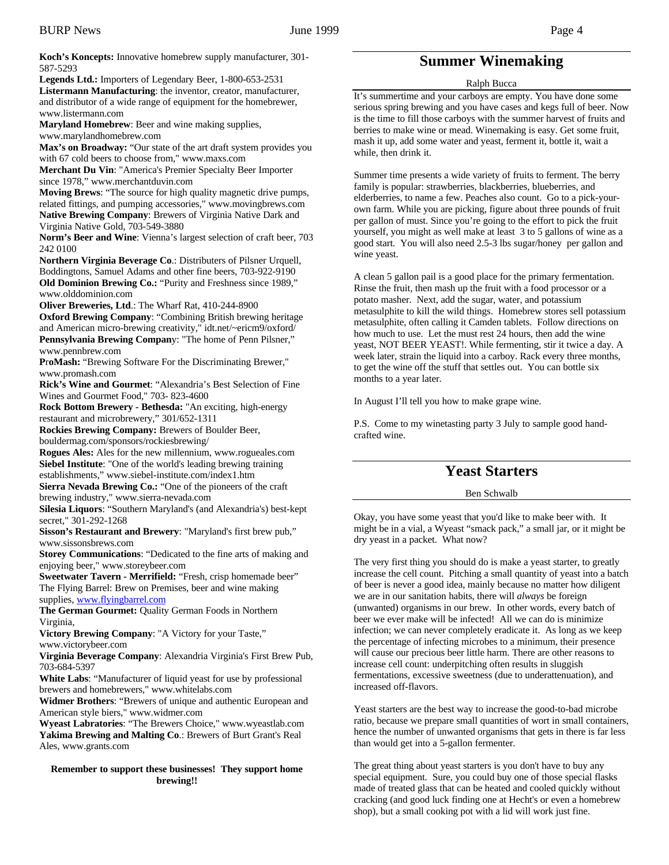**Koch's Koncepts:** Innovative homebrew supply manufacturer, 301- 587-5293

**Legends Ltd.:** Importers of Legendary Beer, 1-800-653-2531 **Listermann Manufacturing**: the inventor, creator, manufacturer, and distributor of a wide range of equipment for the homebrewer, www.listermann.com

**Maryland Homebrew**: Beer and wine making supplies, www.marylandhomebrew.com

Max's on Broadway: "Our state of the art draft system provides you with 67 cold beers to choose from," www.maxs.com

**Merchant Du Vin**: "America's Premier Specialty Beer Importer since 1978," www.merchantduvin.com

**Moving Brews**: "The source for high quality magnetic drive pumps, related fittings, and pumping accessories," www.movingbrews.com **Native Brewing Company**: Brewers of Virginia Native Dark and Virginia Native Gold, 703-549-3880

**Norm's Beer and Wine**: Vienna's largest selection of craft beer, 703 242 0100

**Northern Virginia Beverage Co**.: Distributers of Pilsner Urquell, Boddingtons, Samuel Adams and other fine beers, 703-922-9190 **Old Dominion Brewing Co.:** "Purity and Freshness since 1989," www.olddominion.com

**Oliver Breweries, Ltd**.: The Wharf Rat, 410-244-8900 **Oxford Brewing Company**: "Combining British brewing heritage

and American micro-brewing creativity," idt.net/~ericm9/oxford/ **Pennsylvania Brewing Compan**y: "The home of Penn Pilsner," www.pennbrew.com

**P**r**oMash:** "Brewing Software For the Discriminating Brewer," www.promash.com

**Rick's Wine and Gourmet**: "Alexandria's Best Selection of Fine Wines and Gourmet Food," 703- 823-4600

**Rock Bottom Brewery - Bethesda:** "An exciting, high-energy restaurant and microbrewery," 301/652-1311

**Rockies Brewing Company:** Brewers of Boulder Beer,

bouldermag.com/sponsors/rockiesbrewing/

**Rogues Ales:** Ales for the new millennium, www.rogueales.com **Siebel Institute**: "One of the world's leading brewing training establishments," www.siebel-institute.com/index1.htm

**Sierra Nevada Brewing Co.:** "One of the pioneers of the craft brewing industry," www.sierra-nevada.com

**Silesia Liquors**: "Southern Maryland's (and Alexandria's) best-kept secret," 301-292-1268

**Sisson's Restaurant and Brewery**: "Maryland's first brew pub," www.sissonsbrews.com

**Storey Communications**: "Dedicated to the fine arts of making and enjoying beer," www.storeybeer.com

**Sweetwater Tavern - Merrifield:** "Fresh, crisp homemade beer" The Flying Barrel: Brew on Premises, beer and wine making supplies, www.flyingbarrel.com

**The German Gourmet:** Quality German Foods in Northern Virginia,

**Victory Brewing Company**: "A Victory for your Taste," www.victorybeer.com

**Virginia Beverage Company**: Alexandria Virginia's First Brew Pub, 703-684-5397

**White Labs**: "Manufacturer of liquid yeast for use by professional brewers and homebrewers," www.whitelabs.com

**Widmer Brothers**: "Brewers of unique and authentic European and American style biers," www.widmer.com

**Wyeast Labratories**: "The Brewers Choice," www.wyeastlab.com **Yakima Brewing and Malting Co**.: Brewers of Burt Grant's Real Ales, www.grants.com

#### **Remember to support these businesses! They support home brewing!!**

## **Summer Winemaking**

#### Ralph Bucca

It's summertime and your carboys are empty. You have done some serious spring brewing and you have cases and kegs full of beer. Now is the time to fill those carboys with the summer harvest of fruits and berries to make wine or mead. Winemaking is easy. Get some fruit, mash it up, add some water and yeast, ferment it, bottle it, wait a while, then drink it.

Summer time presents a wide variety of fruits to ferment. The berry family is popular: strawberries, blackberries, blueberries, and elderberries, to name a few. Peaches also count. Go to a pick-yourown farm. While you are picking, figure about three pounds of fruit per gallon of must. Since you're going to the effort to pick the fruit yourself, you might as well make at least 3 to 5 gallons of wine as a good start. You will also need 2.5-3 lbs sugar/honey per gallon and wine yeast.

A clean 5 gallon pail is a good place for the primary fermentation. Rinse the fruit, then mash up the fruit with a food processor or a potato masher. Next, add the sugar, water, and potassium metasulphite to kill the wild things. Homebrew stores sell potassium metasulphite, often calling it Camden tablets. Follow directions on how much to use. Let the must rest 24 hours, then add the wine yeast, NOT BEER YEAST!. While fermenting, stir it twice a day. A week later, strain the liquid into a carboy. Rack every three months, to get the wine off the stuff that settles out. You can bottle six months to a year later.

In August I'll tell you how to make grape wine.

P.S. Come to my winetasting party 3 July to sample good handcrafted wine.

## **Yeast Starters**

## Ben Schwalb

Okay, you have some yeast that you'd like to make beer with. It might be in a vial, a Wyeast "smack pack," a small jar, or it might be dry yeast in a packet. What now?

The very first thing you should do is make a yeast starter, to greatly increase the cell count. Pitching a small quantity of yeast into a batch of beer is never a good idea, mainly because no matter how diligent we are in our sanitation habits, there will *always* be foreign (unwanted) organisms in our brew. In other words, every batch of beer we ever make will be infected! All we can do is minimize infection; we can never completely eradicate it. As long as we keep the percentage of infecting microbes to a minimum, their presence will cause our precious beer little harm. There are other reasons to increase cell count: underpitching often results in sluggish fermentations, excessive sweetness (due to underattenuation), and increased off-flavors.

Yeast starters are the best way to increase the good-to-bad microbe ratio, because we prepare small quantities of wort in small containers, hence the number of unwanted organisms that gets in there is far less than would get into a 5-gallon fermenter.

The great thing about yeast starters is you don't have to buy any special equipment. Sure, you could buy one of those special flasks made of treated glass that can be heated and cooled quickly without cracking (and good luck finding one at Hecht's or even a homebrew shop), but a small cooking pot with a lid will work just fine.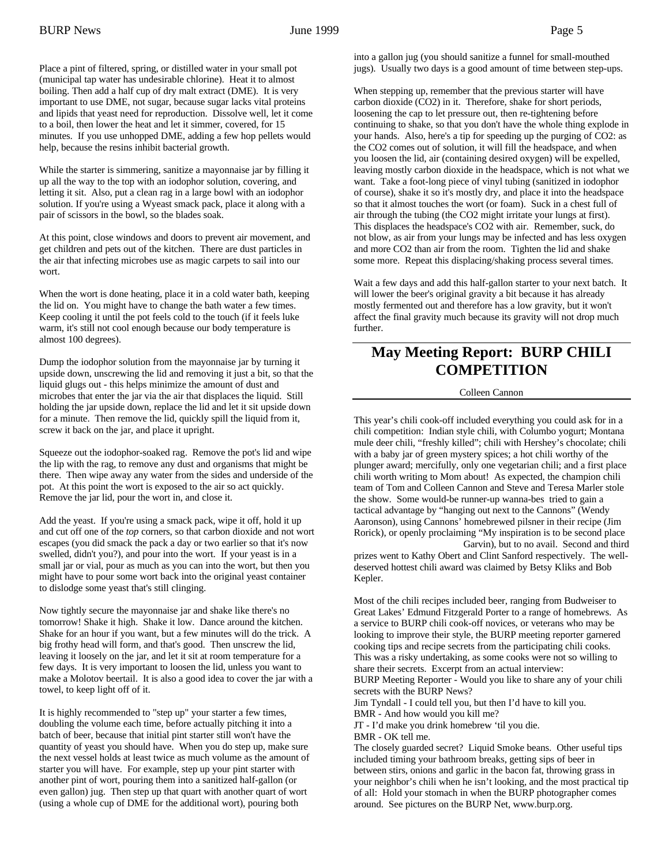Place a pint of filtered, spring, or distilled water in your small pot (municipal tap water has undesirable chlorine). Heat it to almost boiling. Then add a half cup of dry malt extract (DME). It is very important to use DME, not sugar, because sugar lacks vital proteins and lipids that yeast need for reproduction. Dissolve well, let it come to a boil, then lower the heat and let it simmer, covered, for 15 minutes. If you use unhopped DME, adding a few hop pellets would help, because the resins inhibit bacterial growth.

While the starter is simmering, sanitize a mayonnaise jar by filling it up all the way to the top with an iodophor solution, covering, and letting it sit. Also, put a clean rag in a large bowl with an iodophor solution. If you're using a Wyeast smack pack, place it along with a pair of scissors in the bowl, so the blades soak.

At this point, close windows and doors to prevent air movement, and get children and pets out of the kitchen. There are dust particles in the air that infecting microbes use as magic carpets to sail into our wort.

When the wort is done heating, place it in a cold water bath, keeping the lid on. You might have to change the bath water a few times. Keep cooling it until the pot feels cold to the touch (if it feels luke warm, it's still not cool enough because our body temperature is almost 100 degrees).

Dump the iodophor solution from the mayonnaise jar by turning it upside down, unscrewing the lid and removing it just a bit, so that the liquid glugs out - this helps minimize the amount of dust and microbes that enter the jar via the air that displaces the liquid. Still holding the jar upside down, replace the lid and let it sit upside down for a minute. Then remove the lid, quickly spill the liquid from it, screw it back on the jar, and place it upright.

Squeeze out the iodophor-soaked rag. Remove the pot's lid and wipe the lip with the rag, to remove any dust and organisms that might be there. Then wipe away any water from the sides and underside of the pot. At this point the wort is exposed to the air so act quickly. Remove the jar lid, pour the wort in, and close it.

Add the yeast. If you're using a smack pack, wipe it off, hold it up and cut off one of the *top* corners, so that carbon dioxide and not wort escapes (you did smack the pack a day or two earlier so that it's now swelled, didn't you?), and pour into the wort. If your yeast is in a small jar or vial, pour as much as you can into the wort, but then you might have to pour some wort back into the original yeast container to dislodge some yeast that's still clinging.

Now tightly secure the mayonnaise jar and shake like there's no tomorrow! Shake it high. Shake it low. Dance around the kitchen. Shake for an hour if you want, but a few minutes will do the trick. A big frothy head will form, and that's good. Then unscrew the lid, leaving it loosely on the jar, and let it sit at room temperature for a few days. It is very important to loosen the lid, unless you want to make a Molotov beertail. It is also a good idea to cover the jar with a towel, to keep light off of it.

It is highly recommended to "step up" your starter a few times, doubling the volume each time, before actually pitching it into a batch of beer, because that initial pint starter still won't have the quantity of yeast you should have. When you do step up, make sure the next vessel holds at least twice as much volume as the amount of starter you will have. For example, step up your pint starter with another pint of wort, pouring them into a sanitized half-gallon (or even gallon) jug. Then step up that quart with another quart of wort (using a whole cup of DME for the additional wort), pouring both

into a gallon jug (you should sanitize a funnel for small-mouthed jugs). Usually two days is a good amount of time between step-ups.

When stepping up, remember that the previous starter will have carbon dioxide (CO2) in it. Therefore, shake for short periods, loosening the cap to let pressure out, then re-tightening before continuing to shake, so that you don't have the whole thing explode in your hands. Also, here's a tip for speeding up the purging of CO2: as the CO2 comes out of solution, it will fill the headspace, and when you loosen the lid, air (containing desired oxygen) will be expelled, leaving mostly carbon dioxide in the headspace, which is not what we want. Take a foot-long piece of vinyl tubing (sanitized in iodophor of course), shake it so it's mostly dry, and place it into the headspace so that it almost touches the wort (or foam). Suck in a chest full of air through the tubing (the CO2 might irritate your lungs at first). This displaces the headspace's CO2 with air. Remember, suck, do not blow, as air from your lungs may be infected and has less oxygen and more CO2 than air from the room. Tighten the lid and shake some more. Repeat this displacing/shaking process several times.

Wait a few days and add this half-gallon starter to your next batch. It will lower the beer's original gravity a bit because it has already mostly fermented out and therefore has a low gravity, but it won't affect the final gravity much because its gravity will not drop much further.

## **May Meeting Report: BURP CHILI COMPETITION**

#### Colleen Cannon

This year's chili cook-off included everything you could ask for in a chili competition: Indian style chili, with Columbo yogurt; Montana mule deer chili, "freshly killed"; chili with Hershey's chocolate; chili with a baby jar of green mystery spices; a hot chili worthy of the plunger award; mercifully, only one vegetarian chili; and a first place chili worth writing to Mom about! As expected, the champion chili team of Tom and Colleen Cannon and Steve and Teresa Marler stole the show. Some would-be runner-up wanna-bes tried to gain a tactical advantage by "hanging out next to the Cannons" (Wendy Aaronson), using Cannons' homebrewed pilsner in their recipe (Jim Rorick), or openly proclaiming "My inspiration is to be second place Garvin), but to no avail. Second and third

prizes went to Kathy Obert and Clint Sanford respectively. The welldeserved hottest chili award was claimed by Betsy Kliks and Bob Kepler.

Most of the chili recipes included beer, ranging from Budweiser to Great Lakes' Edmund Fitzgerald Porter to a range of homebrews. As a service to BURP chili cook-off novices, or veterans who may be looking to improve their style, the BURP meeting reporter garnered cooking tips and recipe secrets from the participating chili cooks. This was a risky undertaking, as some cooks were not so willing to share their secrets. Excerpt from an actual interview: BURP Meeting Reporter - Would you like to share any of your chili secrets with the BURP News?

Jim Tyndall - I could tell you, but then I'd have to kill you. BMR - And how would you kill me?

JT - I'd make you drink homebrew 'til you die.

BMR - OK tell me.

The closely guarded secret? Liquid Smoke beans. Other useful tips included timing your bathroom breaks, getting sips of beer in between stirs, onions and garlic in the bacon fat, throwing grass in your neighbor's chili when he isn't looking, and the most practical tip of all: Hold your stomach in when the BURP photographer comes around. See pictures on the BURP Net, www.burp.org.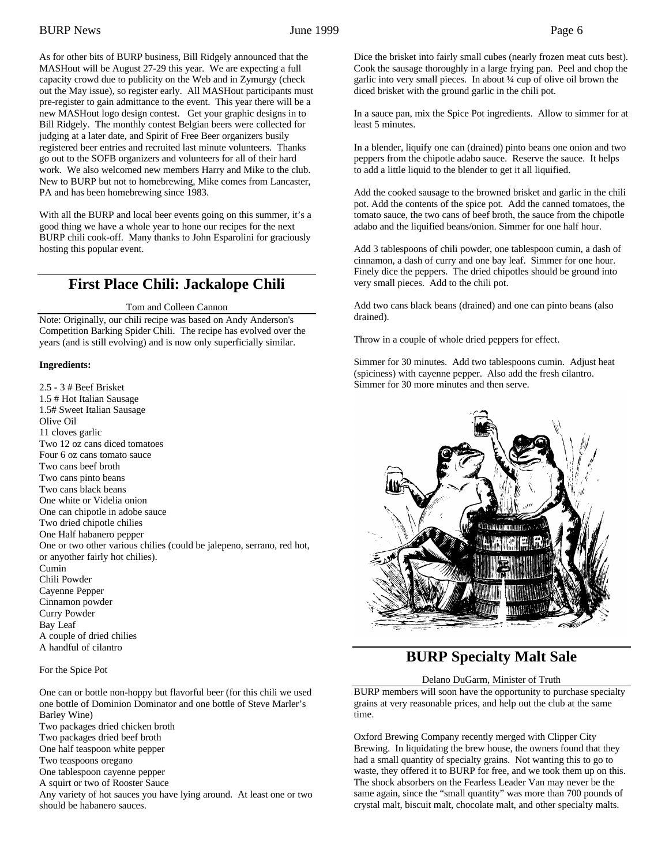As for other bits of BURP business, Bill Ridgely announced that the MASHout will be August 27-29 this year. We are expecting a full capacity crowd due to publicity on the Web and in Zymurgy (check out the May issue), so register early. All MASHout participants must pre-register to gain admittance to the event. This year there will be a new MASHout logo design contest. Get your graphic designs in to Bill Ridgely. The monthly contest Belgian beers were collected for judging at a later date, and Spirit of Free Beer organizers busily registered beer entries and recruited last minute volunteers. Thanks go out to the SOFB organizers and volunteers for all of their hard work. We also welcomed new members Harry and Mike to the club. New to BURP but not to homebrewing, Mike comes from Lancaster, PA and has been homebrewing since 1983.

With all the BURP and local beer events going on this summer, it's a good thing we have a whole year to hone our recipes for the next BURP chili cook-off. Many thanks to John Esparolini for graciously hosting this popular event.

## **First Place Chili: Jackalope Chili**

Tom and Colleen Cannon

Note: Originally, our chili recipe was based on Andy Anderson's Competition Barking Spider Chili. The recipe has evolved over the years (and is still evolving) and is now only superficially similar.

## **Ingredients:**

2.5 - 3 # Beef Brisket 1.5 # Hot Italian Sausage 1.5# Sweet Italian Sausage Olive Oil 11 cloves garlic Two 12 oz cans diced tomatoes Four 6 oz cans tomato sauce Two cans beef broth Two cans pinto beans Two cans black beans One white or Videlia onion One can chipotle in adobe sauce Two dried chipotle chilies One Half habanero pepper One or two other various chilies (could be jalepeno, serrano, red hot, or anyother fairly hot chilies). Cumin Chili Powder Cayenne Pepper Cinnamon powder Curry Powder Bay Leaf A couple of dried chilies A handful of cilantro

For the Spice Pot

One can or bottle non-hoppy but flavorful beer (for this chili we used one bottle of Dominion Dominator and one bottle of Steve Marler's Barley Wine) Two packages dried chicken broth Two packages dried beef broth One half teaspoon white pepper Two teaspoons oregano One tablespoon cayenne pepper A squirt or two of Rooster Sauce Any variety of hot sauces you have lying around. At least one or two should be habanero sauces.

Dice the brisket into fairly small cubes (nearly frozen meat cuts best). Cook the sausage thoroughly in a large frying pan. Peel and chop the garlic into very small pieces. In about ¼ cup of olive oil brown the diced brisket with the ground garlic in the chili pot.

In a sauce pan, mix the Spice Pot ingredients. Allow to simmer for at least 5 minutes.

In a blender, liquify one can (drained) pinto beans one onion and two peppers from the chipotle adabo sauce. Reserve the sauce. It helps to add a little liquid to the blender to get it all liquified.

Add the cooked sausage to the browned brisket and garlic in the chili pot. Add the contents of the spice pot. Add the canned tomatoes, the tomato sauce, the two cans of beef broth, the sauce from the chipotle adabo and the liquified beans/onion. Simmer for one half hour.

Add 3 tablespoons of chili powder, one tablespoon cumin, a dash of cinnamon, a dash of curry and one bay leaf. Simmer for one hour. Finely dice the peppers. The dried chipotles should be ground into very small pieces. Add to the chili pot.

Add two cans black beans (drained) and one can pinto beans (also drained).

Throw in a couple of whole dried peppers for effect.

Simmer for 30 minutes. Add two tablespoons cumin. Adjust heat (spiciness) with cayenne pepper. Also add the fresh cilantro. Simmer for 30 more minutes and then serve.



## **BURP Specialty Malt Sale**

#### Delano DuGarm, Minister of Truth

BURP members will soon have the opportunity to purchase specialty grains at very reasonable prices, and help out the club at the same time.

Oxford Brewing Company recently merged with Clipper City Brewing. In liquidating the brew house, the owners found that they had a small quantity of specialty grains. Not wanting this to go to waste, they offered it to BURP for free, and we took them up on this. The shock absorbers on the Fearless Leader Van may never be the same again, since the "small quantity" was more than 700 pounds of crystal malt, biscuit malt, chocolate malt, and other specialty malts.